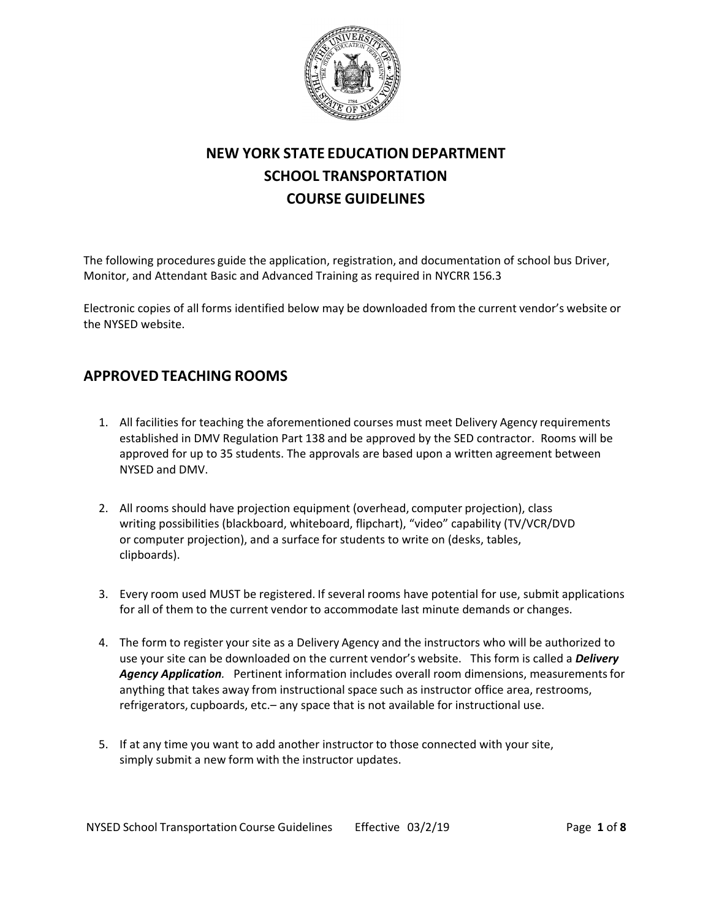

# **NEW YORK STATE EDUCATION DEPARTMENT SCHOOL TRANSPORTATION COURSE GUIDELINES**

The following procedures guide the application, registration, and documentation of school bus Driver, Monitor, and Attendant Basic and Advanced Training as required in NYCRR 156.3

Electronic copies of all forms identified below may be downloaded from the current vendor's website or the NYSED website.

## **APPROVED TEACHING ROOMS**

- 1. All facilities for teaching the aforementioned courses must meet Delivery Agency requirements established in DMV Regulation Part 138 and be approved by the SED contractor. Rooms will be approved for up to 35 students. The approvals are based upon a written agreement between NYSED and DMV.
- 2. All rooms should have projection equipment (overhead, computer projection), class writing possibilities (blackboard, whiteboard, flipchart), "video" capability (TV/VCR/DVD or computer projection), and a surface for students to write on (desks, tables, clipboards).
- 3. Every room used MUST be registered. If several rooms have potential for use, submit applications for all of them to the current vendor to accommodate last minute demands or changes.
- 4. The form to register your site as a Delivery Agency and the instructors who will be authorized to use your site can be downloaded on the current vendor's website. This form is called a *Delivery Agency Application.* Pertinent information includes overall room dimensions, measurements for anything that takes away from instructional space such as instructor office area, restrooms, refrigerators, cupboards, etc.– any space that is not available for instructional use.
- 5. If at any time you want to add another instructor to those connected with your site, simply submit a new form with the instructor updates.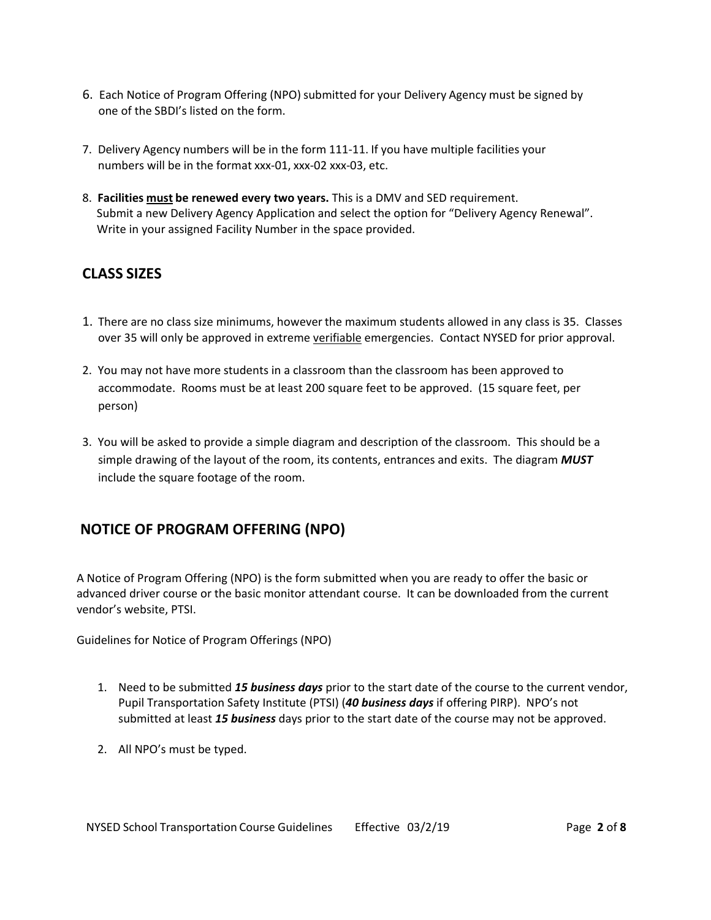- 6. Each Notice of Program Offering (NPO) submitted for your Delivery Agency must be signed by one of the SBDI's listed on the form.
- 7. Delivery Agency numbers will be in the form 111-11. If you have multiple facilities your numbers will be in the format xxx-01, xxx-02 xxx-03, etc.
- 8. **Facilities must be renewed every two years.** This is a DMV and SED requirement. Submit a new Delivery Agency Application and select the option for "Delivery Agency Renewal". Write in your assigned Facility Number in the space provided.

### **CLASS SIZES**

- 1. There are no class size minimums, however the maximum students allowed in any class is 35. Classes over 35 will only be approved in extreme verifiable emergencies. Contact NYSED for prior approval.
- 2. You may not have more students in a classroom than the classroom has been approved to accommodate. Rooms must be at least 200 square feet to be approved. (15 square feet, per person)
- 3. You will be asked to provide a simple diagram and description of the classroom. This should be a simple drawing of the layout of the room, its contents, entrances and exits. The diagram *MUST* include the square footage of the room.

## **NOTICE OF PROGRAM OFFERING (NPO)**

A Notice of Program Offering (NPO) is the form submitted when you are ready to offer the basic or advanced driver course or the basic monitor attendant course. It can be downloaded from the current vendor's website, PTSI.

Guidelines for Notice of Program Offerings (NPO)

- 1. Need to be submitted *15 business days* prior to the start date of the course to the current vendor, Pupil Transportation Safety Institute (PTSI) (*40 business days* if offering PIRP). NPO's not submitted at least *15 business* days prior to the start date of the course may not be approved.
- 2. All NPO's must be typed.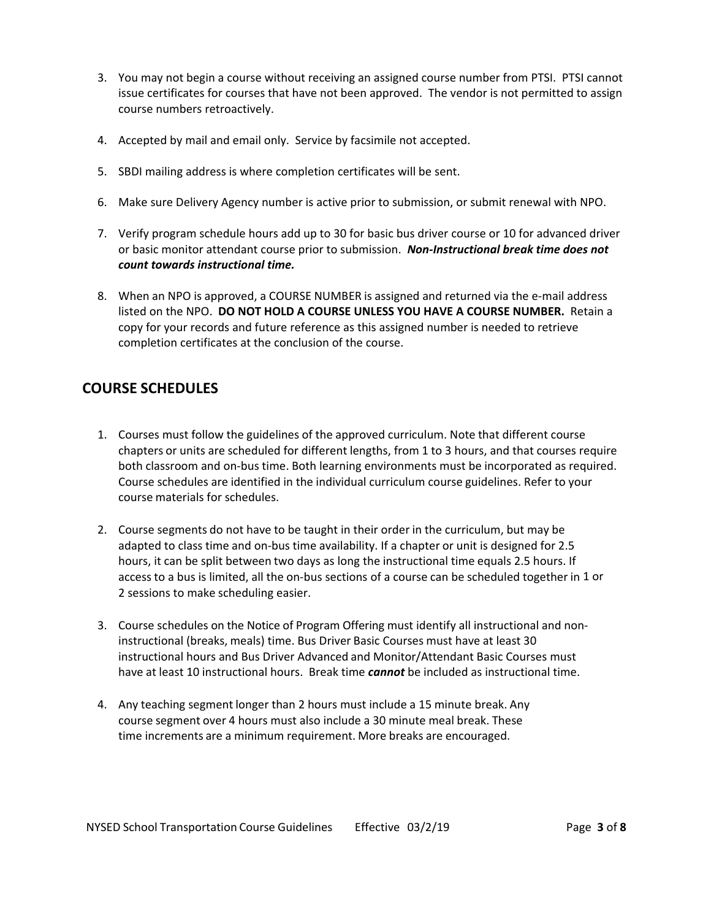- 3. You may not begin a course without receiving an assigned course number from PTSI. PTSI cannot issue certificates for courses that have not been approved. The vendor is not permitted to assign course numbers retroactively.
- 4. Accepted by mail and email only. Service by facsimile not accepted.
- 5. SBDI mailing address is where completion certificates will be sent.
- 6. Make sure Delivery Agency number is active prior to submission, or submit renewal with NPO.
- 7. Verify program schedule hours add up to 30 for basic bus driver course or 10 for advanced driver or basic monitor attendant course prior to submission. *Non-Instructional break time does not count towards instructional time.*
- 8. When an NPO is approved, a COURSE NUMBER is assigned and returned via the e-mail address listed on the NPO. **DO NOT HOLD A COURSE UNLESS YOU HAVE A COURSE NUMBER.** Retain a copy for your records and future reference as this assigned number is needed to retrieve completion certificates at the conclusion of the course.

## **COURSE SCHEDULES**

- 1. Courses must follow the guidelines of the approved curriculum. Note that different course chapters or units are scheduled for different lengths, from 1 to 3 hours, and that courses require both classroom and on-bus time. Both learning environments must be incorporated as required. Course schedules are identified in the individual curriculum course guidelines. Refer to your course materials for schedules.
- 2. Course segments do not have to be taught in their order in the curriculum, but may be adapted to class time and on-bus time availability. If a chapter or unit is designed for 2.5 hours, it can be split between two days as long the instructional time equals 2.5 hours. If access to a bus is limited, all the on-bus sections of a course can be scheduled together in 1 or 2 sessions to make scheduling easier.
- 3. Course schedules on the Notice of Program Offering must identify all instructional and noninstructional (breaks, meals) time. Bus Driver Basic Courses must have at least 30 instructional hours and Bus Driver Advanced and Monitor/Attendant Basic Courses must have at least 10 instructional hours. Break time *cannot* be included as instructional time.
- 4. Any teaching segment longer than 2 hours must include a 15 minute break. Any course segment over 4 hours must also include a 30 minute meal break. These time increments are a minimum requirement. More breaks are encouraged.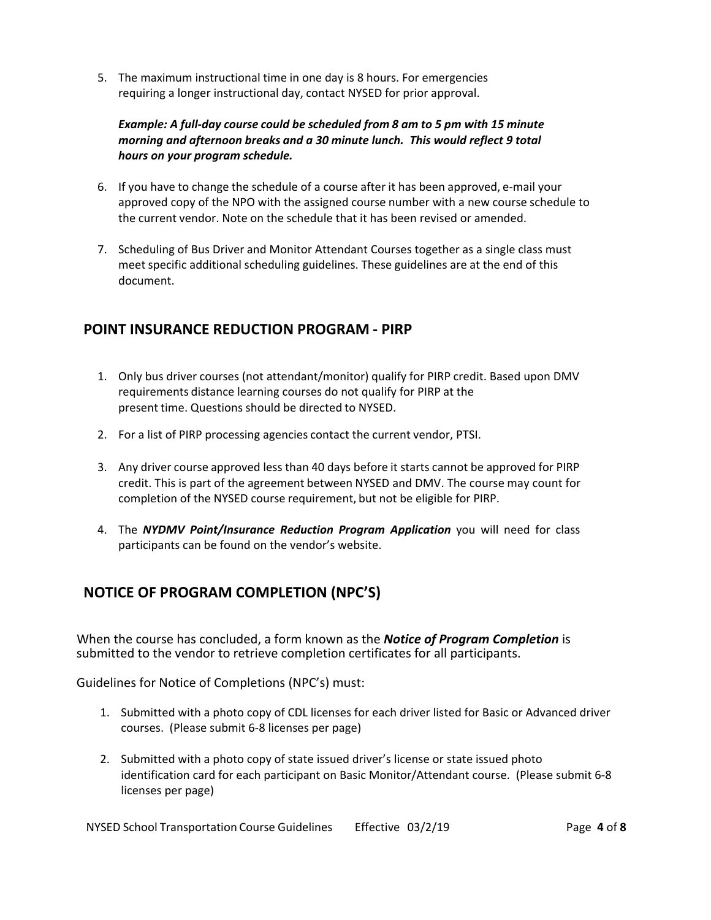5. The maximum instructional time in one day is 8 hours. For emergencies requiring a longer instructional day, contact NYSED for prior approval.

#### *Example: A full-day course could be scheduled from 8 am to 5 pm with 15 minute morning and afternoon breaks and a 30 minute lunch. This would reflect 9 total hours on your program schedule.*

- 6. If you have to change the schedule of a course after it has been approved, e-mail your approved copy of the NPO with the assigned course number with a new course schedule to the current vendor. Note on the schedule that it has been revised or amended.
- 7. Scheduling of Bus Driver and Monitor Attendant Courses together as a single class must meet specific additional scheduling guidelines. These guidelines are at the end of this document.

### **POINT INSURANCE REDUCTION PROGRAM - PIRP**

- 1. Only bus driver courses (not attendant/monitor) qualify for PIRP credit. Based upon DMV requirements distance learning courses do not qualify for PIRP at the present time. Questions should be directed to NYSED.
- 2. For a list of PIRP processing agencies contact the current vendor, PTSI.
- 3. Any driver course approved less than 40 days before it starts cannot be approved for PIRP credit. This is part of the agreement between NYSED and DMV. The course may count for completion of the NYSED course requirement, but not be eligible for PIRP.
- 4. The *NYDMV Point/Insurance Reduction Program Application* you will need for class participants can be found on the vendor's website.

## **NOTICE OF PROGRAM COMPLETION (NPC'S)**

When the course has concluded, a form known as the *Notice of Program Completion* is submitted to the vendor to retrieve completion certificates for all participants.

Guidelines for Notice of Completions (NPC's) must:

- 1. Submitted with a photo copy of CDL licenses for each driver listed for Basic or Advanced driver courses. (Please submit 6-8 licenses per page)
- 2. Submitted with a photo copy of state issued driver's license or state issued photo identification card for each participant on Basic Monitor/Attendant course. (Please submit 6-8 licenses per page)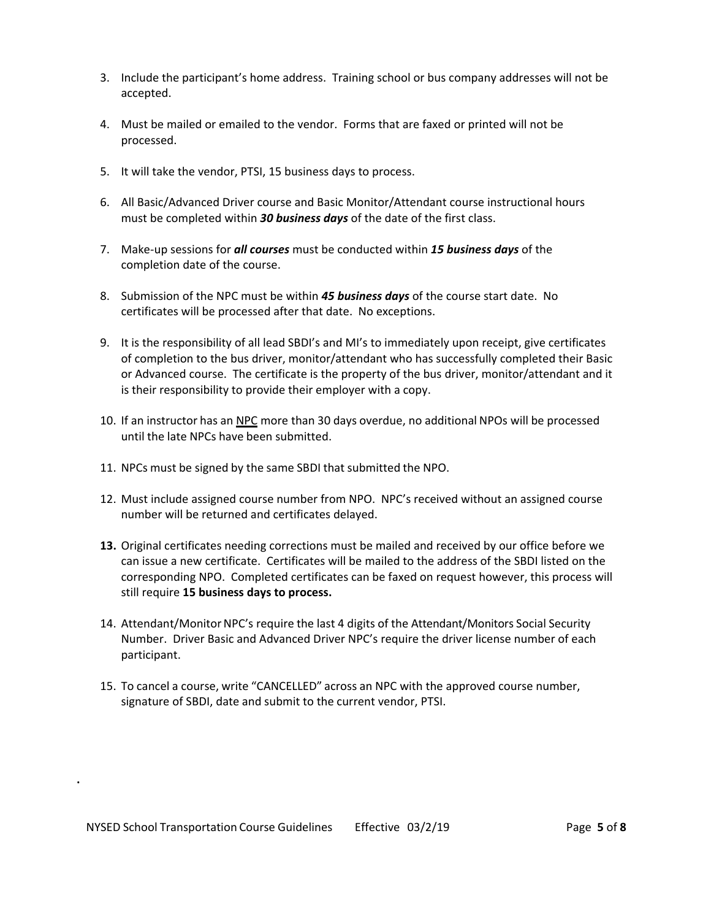- 3. Include the participant's home address. Training school or bus company addresses will not be accepted.
- 4. Must be mailed or emailed to the vendor. Forms that are faxed or printed will not be processed.
- 5. It will take the vendor, PTSI, 15 business days to process.
- 6. All Basic/Advanced Driver course and Basic Monitor/Attendant course instructional hours must be completed within *30 business days* of the date of the first class.
- 7. Make-up sessions for *all courses* must be conducted within *15 business days* of the completion date of the course.
- 8. Submission of the NPC must be within *45 business days* of the course start date. No certificates will be processed after that date. No exceptions.
- 9. It is the responsibility of all lead SBDI's and MI's to immediately upon receipt, give certificates of completion to the bus driver, monitor/attendant who has successfully completed their Basic or Advanced course. The certificate is the property of the bus driver, monitor/attendant and it is their responsibility to provide their employer with a copy.
- 10. If an instructor has an NPC more than 30 days overdue, no additional NPOs will be processed until the late NPCs have been submitted.
- 11. NPCs must be signed by the same SBDI that submitted the NPO.
- 12. Must include assigned course number from NPO. NPC's received without an assigned course number will be returned and certificates delayed.
- **13.** Original certificates needing corrections must be mailed and received by our office before we can issue a new certificate. Certificates will be mailed to the address of the SBDI listed on the corresponding NPO. Completed certificates can be faxed on request however, this process will still require **15 business days to process.**
- 14. Attendant/Monitor NPC's require the last 4 digits of the Attendant/Monitors Social Security Number. Driver Basic and Advanced Driver NPC's require the driver license number of each participant.
- 15. To cancel a course, write "CANCELLED" across an NPC with the approved course number, signature of SBDI, date and submit to the current vendor, PTSI.

**.**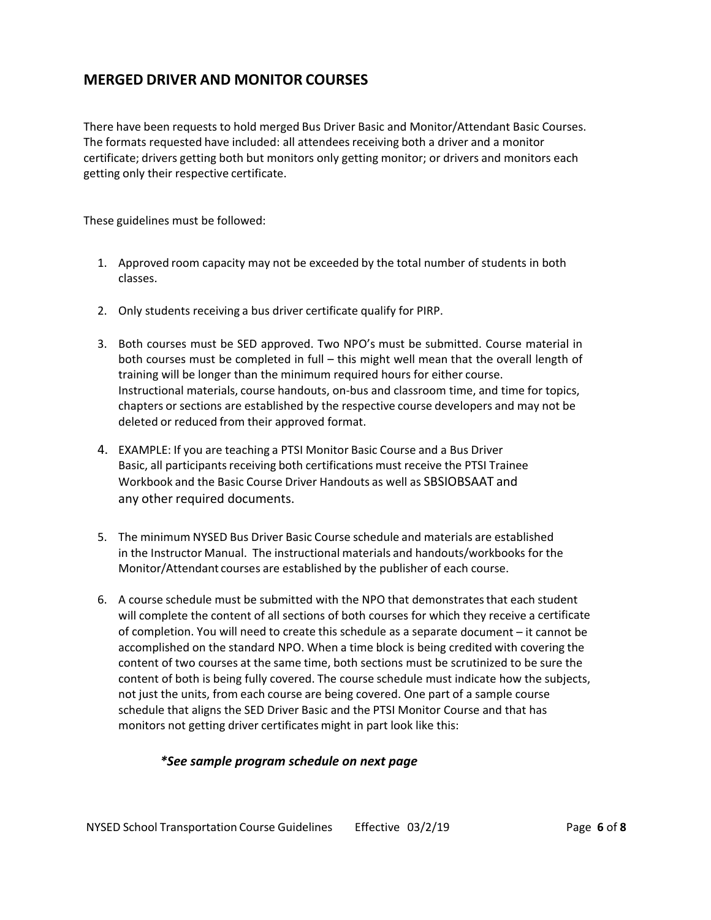#### **MERGED DRIVER AND MONITOR COURSES**

There have been requests to hold merged Bus Driver Basic and Monitor/Attendant Basic Courses. The formats requested have included: all attendees receiving both a driver and a monitor certificate; drivers getting both but monitors only getting monitor; or drivers and monitors each getting only their respective certificate.

These guidelines must be followed:

- 1. Approved room capacity may not be exceeded by the total number of students in both classes.
- 2. Only students receiving a bus driver certificate qualify for PIRP.
- 3. Both courses must be SED approved. Two NPO's must be submitted. Course material in both courses must be completed in full – this might well mean that the overall length of training will be longer than the minimum required hours for either course. Instructional materials, course handouts, on-bus and classroom time, and time for topics, chapters or sections are established by the respective course developers and may not be deleted or reduced from their approved format.
- 4. EXAMPLE: If you are teaching a PTSI Monitor Basic Course and a Bus Driver Basic, all participants receiving both certifications must receive the PTSI Trainee Workbook and the Basic Course Driver Handouts as well as SBSIOBSAAT and any other required documents.
- 5. The minimum NYSED Bus Driver Basic Course schedule and materials are established in the Instructor Manual. The instructional materials and handouts/workbooks for the Monitor/Attendant courses are established by the publisher of each course.
- 6. A course schedule must be submitted with the NPO that demonstrates that each student will complete the content of all sections of both courses for which they receive a certificate of completion. You will need to create this schedule as a separate document – it cannot be accomplished on the standard NPO. When a time block is being credited with covering the content of two courses at the same time, both sections must be scrutinized to be sure the content of both is being fully covered. The course schedule must indicate how the subjects, not just the units, from each course are being covered. One part of a sample course schedule that aligns the SED Driver Basic and the PTSI Monitor Course and that has monitors not getting driver certificates might in part look like this:

#### *\*See sample program schedule on next page*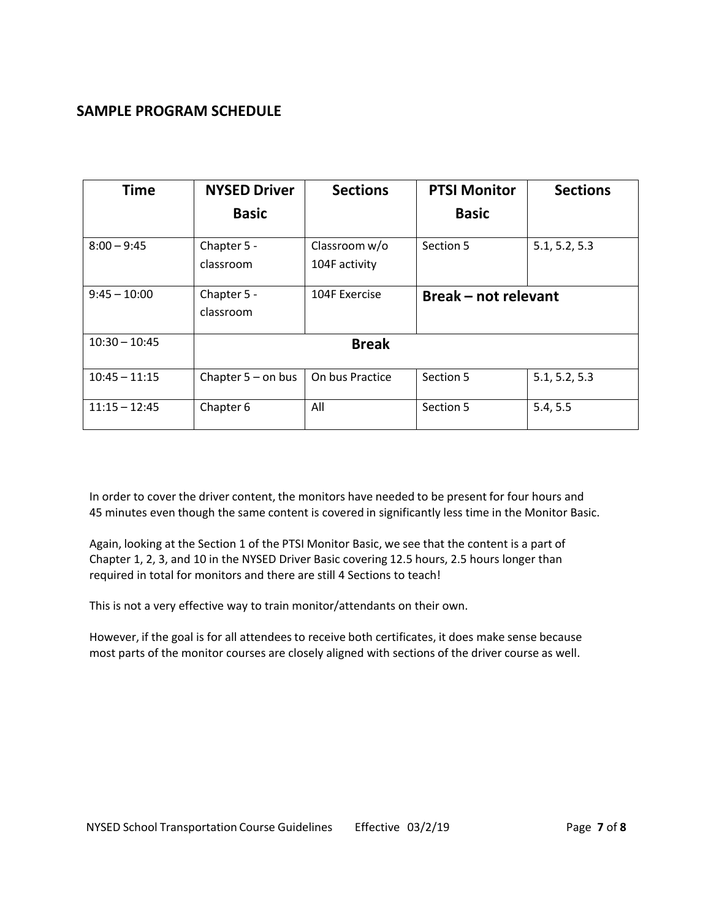### **SAMPLE PROGRAM SCHEDULE**

| <b>Time</b>     | <b>NYSED Driver</b>      | <b>Sections</b>                | <b>PTSI Monitor</b>       | <b>Sections</b> |
|-----------------|--------------------------|--------------------------------|---------------------------|-----------------|
|                 | <b>Basic</b>             |                                | <b>Basic</b>              |                 |
| $8:00 - 9:45$   | Chapter 5 -<br>classroom | Classroom w/o<br>104F activity | Section 5                 | 5.1, 5.2, 5.3   |
| $9:45 - 10:00$  | Chapter 5 -<br>classroom | 104F Exercise                  | <b>Break-not relevant</b> |                 |
| $10:30 - 10:45$ | <b>Break</b>             |                                |                           |                 |
| $10:45 - 11:15$ | Chapter $5 -$ on bus     | On bus Practice                | Section 5                 | 5.1, 5.2, 5.3   |
| $11:15 - 12:45$ | Chapter 6                | All                            | Section 5                 | 5.4, 5.5        |

In order to cover the driver content, the monitors have needed to be present for four hours and 45 minutes even though the same content is covered in significantly less time in the Monitor Basic.

Again, looking at the Section 1 of the PTSI Monitor Basic, we see that the content is a part of Chapter 1, 2, 3, and 10 in the NYSED Driver Basic covering 12.5 hours, 2.5 hours longer than required in total for monitors and there are still 4 Sections to teach!

This is not a very effective way to train monitor/attendants on their own.

However, if the goal is for all attendees to receive both certificates, it does make sense because most parts of the monitor courses are closely aligned with sections of the driver course as well.